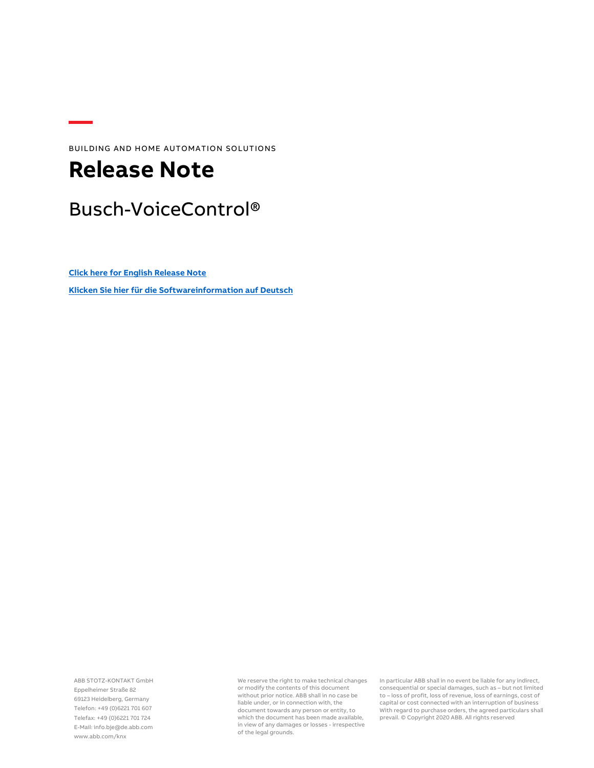BUILDING AND HOME AUTOMATION SOLUTIONS

## **Release Note**

### Busch-VoiceControl®

**[Click here for English Release Note](#page-1-0) [Klicken Sie hier für die Softwareinformation](#page-4-0) auf Deutsch**

ABB STOTZ-KONTAKT GmbH Eppelheimer Straße 82 69123 Heidelberg, Germany Telefon: +49 (0)6221 701 607 Telefax: +49 (0)6221 701 724 E-Mail: info.bje@de.abb.com www.abb.com/knx

We reserve the right to make technical changes or modify the contents of this document without prior notice. ABB shall in no case be liable under, or in connection with, the document towards any person or entity, to which the document has been made available, in view of any damages or losses - irrespective of the legal grounds.

In particular ABB shall in no event be liable for any indirect, consequential or special damages, such as – but not limited to – loss of profit, loss of revenue, loss of earnings, cost of capital or cost connected with an interruption of business With regard to purchase orders, the agreed particulars shall prevail. © Copyright 2020 ABB. All rights reserved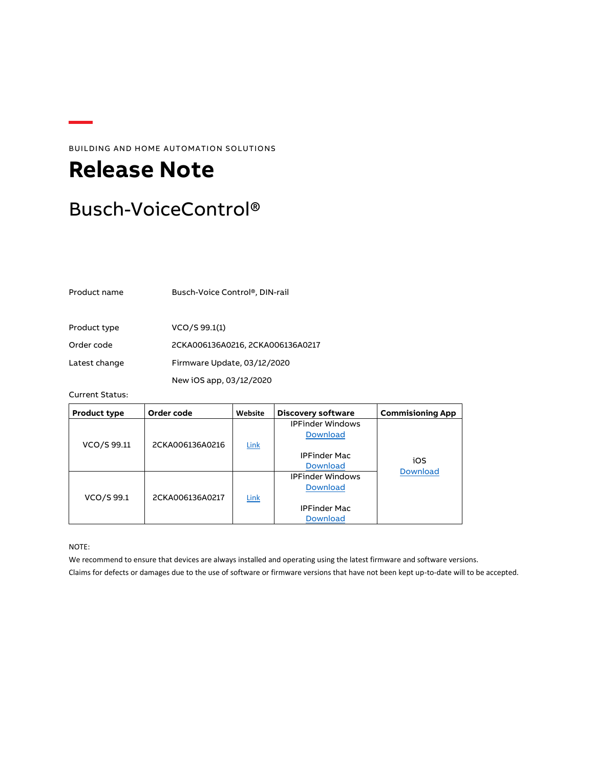BUILDING AND HOME AUTOMATION SOLUTIONS

# <span id="page-1-0"></span>**Release Note**

### Busch-VoiceControl®

Product name Busch-Voice Control®, DIN-rail

Product type  $VCO/S$  99.1(1)

Order code 2CKA006136A0216, 2CKA006136A0217

Latest change Firmware Update, 03/12/2020

New iOS app, 03/12/2020

### Current Status:

| Product type | Order code      | Website | <b>Discovery software</b> | <b>Commisioning App</b> |
|--------------|-----------------|---------|---------------------------|-------------------------|
|              |                 |         | <b>IPFinder Windows</b>   |                         |
|              |                 |         | <b>Download</b>           |                         |
| VCO/S 99.11  | 2CKA006136A0216 | Link    |                           |                         |
|              |                 |         | <b>IPFinder Mac</b>       |                         |
|              |                 |         | <b>Download</b>           | iOS<br><b>Download</b>  |
|              |                 |         | <b>IPFinder Windows</b>   |                         |
|              |                 |         | <b>Download</b>           |                         |
| VCO/S 99.1   | 2CKA006136A0217 | Link    |                           |                         |
|              |                 |         | <b>IPFinder Mac</b>       |                         |
|              |                 |         | <b>Download</b>           |                         |

NOTE:

We recommend to ensure that devices are always installed and operating using the latest firmware and software versions. Claims for defects or damages due to the use of software or firmware versions that have not been kept up-to-date will to be accepted.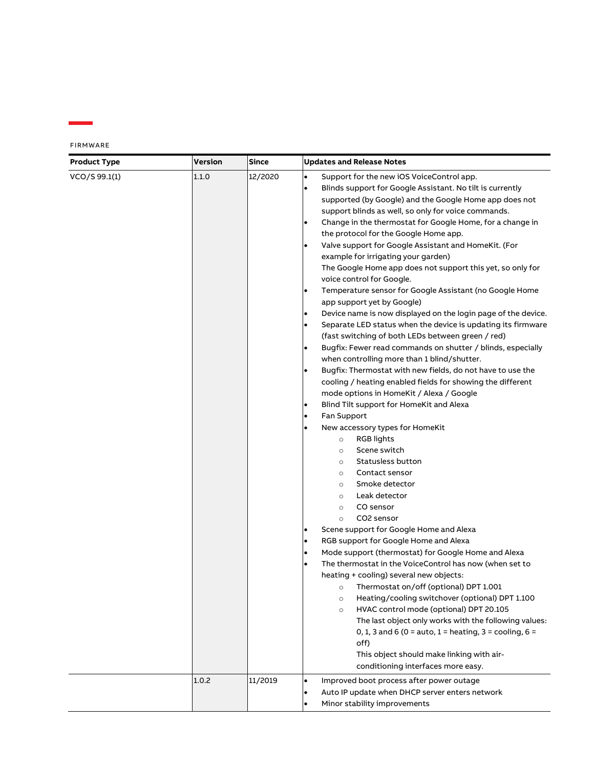| <b>Product Type</b> | <b>Version</b> | <b>Since</b> | <b>Updates and Release Notes</b>                                                                                                                                                                                                                                                                                                                                                                                                                                                                                                                                                                                                                                                                                                                                                                                                                                                                                                                                                                                                                                                                                                                                                                                                                                                                                                                                                                                                                                                                                                                                                                                                                                                                                                                                                                                                                                                                                                                                                                                                                                                                                                                                                                                |  |
|---------------------|----------------|--------------|-----------------------------------------------------------------------------------------------------------------------------------------------------------------------------------------------------------------------------------------------------------------------------------------------------------------------------------------------------------------------------------------------------------------------------------------------------------------------------------------------------------------------------------------------------------------------------------------------------------------------------------------------------------------------------------------------------------------------------------------------------------------------------------------------------------------------------------------------------------------------------------------------------------------------------------------------------------------------------------------------------------------------------------------------------------------------------------------------------------------------------------------------------------------------------------------------------------------------------------------------------------------------------------------------------------------------------------------------------------------------------------------------------------------------------------------------------------------------------------------------------------------------------------------------------------------------------------------------------------------------------------------------------------------------------------------------------------------------------------------------------------------------------------------------------------------------------------------------------------------------------------------------------------------------------------------------------------------------------------------------------------------------------------------------------------------------------------------------------------------------------------------------------------------------------------------------------------------|--|
| VCO/S 99.1(1)       | 1.1.0          | 12/2020      | Support for the new iOS VoiceControl app.<br>٠<br>Blinds support for Google Assistant. No tilt is currently<br>supported (by Google) and the Google Home app does not<br>support blinds as well, so only for voice commands.<br>Change in the thermostat for Google Home, for a change in<br>the protocol for the Google Home app.<br>Valve support for Google Assistant and HomeKit. (For<br>example for irrigating your garden)<br>The Google Home app does not support this yet, so only for<br>voice control for Google.<br>Temperature sensor for Google Assistant (no Google Home<br>$\bullet$<br>app support yet by Google)<br>Device name is now displayed on the login page of the device.<br>$\bullet$<br>Separate LED status when the device is updating its firmware<br>$\bullet$<br>(fast switching of both LEDs between green / red)<br>Bugfix: Fewer read commands on shutter / blinds, especially<br>$\bullet$<br>when controlling more than 1 blind/shutter.<br>Bugfix: Thermostat with new fields, do not have to use the<br>$\bullet$<br>cooling / heating enabled fields for showing the different<br>mode options in HomeKit / Alexa / Google<br>Blind Tilt support for HomeKit and Alexa<br>$\bullet$<br>Fan Support<br>$\bullet$<br>New accessory types for HomeKit<br><b>RGB</b> lights<br>$\circ$<br>Scene switch<br>$\circ$<br>Statusless button<br>$\circ$<br>Contact sensor<br>$\circ$<br>Smoke detector<br>$\circ$<br>Leak detector<br>$\circ$<br>CO sensor<br>$\circ$<br>CO2 sensor<br>$\circ$<br>Scene support for Google Home and Alexa<br>$\bullet$<br>RGB support for Google Home and Alexa<br>$\bullet$<br>Mode support (thermostat) for Google Home and Alexa<br>$\bullet$<br>The thermostat in the VoiceControl has now (when set to<br>$\bullet$<br>heating + cooling) several new objects:<br>o Thermostat on/off (optional) DPT 1.001<br>Heating/cooling switchover (optional) DPT 1.100<br>$\circ$<br>HVAC control mode (optional) DPT 20.105<br>$\circ$<br>The last object only works with the following values:<br>0, 1, 3 and 6 (0 = auto, 1 = heating, 3 = cooling, 6 =<br>off)<br>This object should make linking with air-<br>conditioning interfaces more easy. |  |
|                     | 1.0.2          | 11/2019      | Improved boot process after power outage<br>$\bullet$<br>Auto IP update when DHCP server enters network<br>$\bullet$<br>Minor stability improvements<br>$\bullet$                                                                                                                                                                                                                                                                                                                                                                                                                                                                                                                                                                                                                                                                                                                                                                                                                                                                                                                                                                                                                                                                                                                                                                                                                                                                                                                                                                                                                                                                                                                                                                                                                                                                                                                                                                                                                                                                                                                                                                                                                                               |  |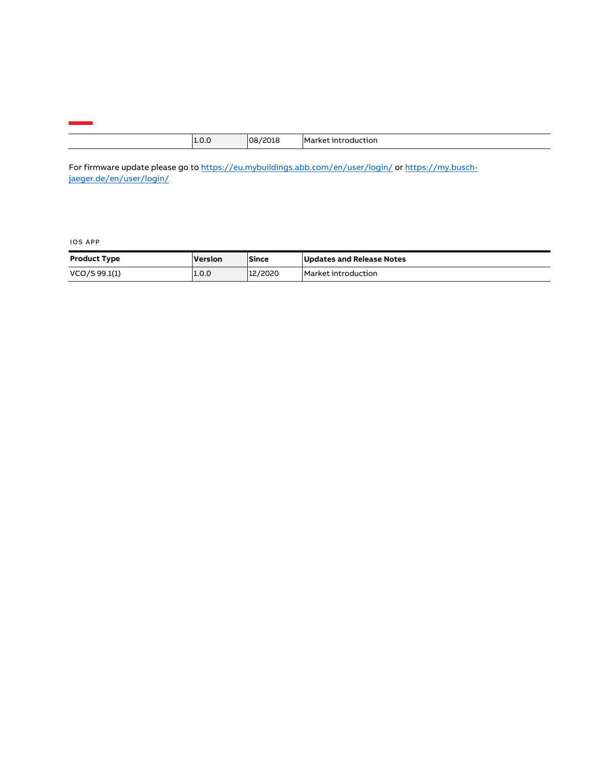| $\Omega$ | יח! | M<br>тпог.<br>17 H L<br>" |
|----------|-----|---------------------------|
|          |     |                           |

For firmware update please go t[o https://eu.mybuildings.abb.com/en/user/login/](https://eu.mybuildings.abb.com/en/user/login/) o[r https://my.busch](https://my.busch-jaeger.de/en/user/login/)[jaeger.de/en/user/login/](https://my.busch-jaeger.de/en/user/login/)

#### IOS APP

| <b>Product Type</b> | Version | Since   | Updates and Release Notes |
|---------------------|---------|---------|---------------------------|
| VCO/S 99.1(1)       | 1.0.0   | 12/2020 | Market introduction       |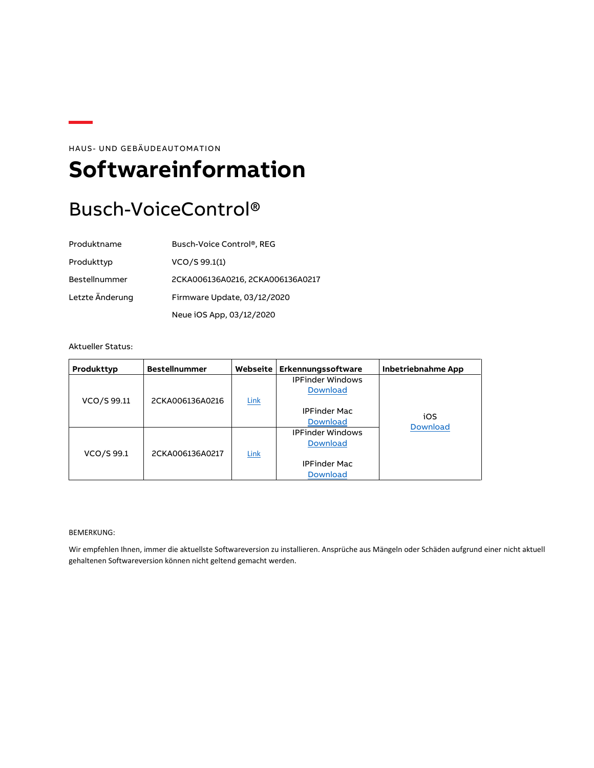HAUS- UND GEBÄUDEAUTOMATION

## <span id="page-4-0"></span>**Softwareinformation**

## Busch-VoiceControl®

| Produktname     | Busch-Voice Control®, REG        |
|-----------------|----------------------------------|
| Produkttyp      | VCO/S 99.1(1)                    |
| Bestellnummer   | 2CKA006136A0216, 2CKA006136A0217 |
| Letzte Änderung | Firmware Update, 03/12/2020      |
|                 | Neue iOS App, 03/12/2020         |

#### Aktueller Status:

| Produkttyp  | <b>Bestellnummer</b> | Webseite | Erkennungssoftware      | <b>Inbetriebnahme App</b> |
|-------------|----------------------|----------|-------------------------|---------------------------|
|             |                      |          | <b>IPFinder Windows</b> |                           |
|             |                      |          | <b>Download</b>         |                           |
| VCO/S 99.11 | 2CKA006136A0216      | Link     |                         |                           |
|             |                      |          | <b>IPFinder Mac</b>     |                           |
|             |                      |          | <b>Download</b>         | iOS                       |
|             |                      |          | <b>IPFinder Windows</b> | <b>Download</b>           |
|             |                      |          | <b>Download</b>         |                           |
| VCO/S 99.1  | 2CKA006136A0217      | Link     |                         |                           |
|             |                      |          | <b>IPFinder Mac</b>     |                           |
|             |                      |          | <b>Download</b>         |                           |

#### BEMERKUNG:

Wir empfehlen Ihnen, immer die aktuellste Softwareversion zu installieren. Ansprüche aus Mängeln oder Schäden aufgrund einer nicht aktuell gehaltenen Softwareversion können nicht geltend gemacht werden.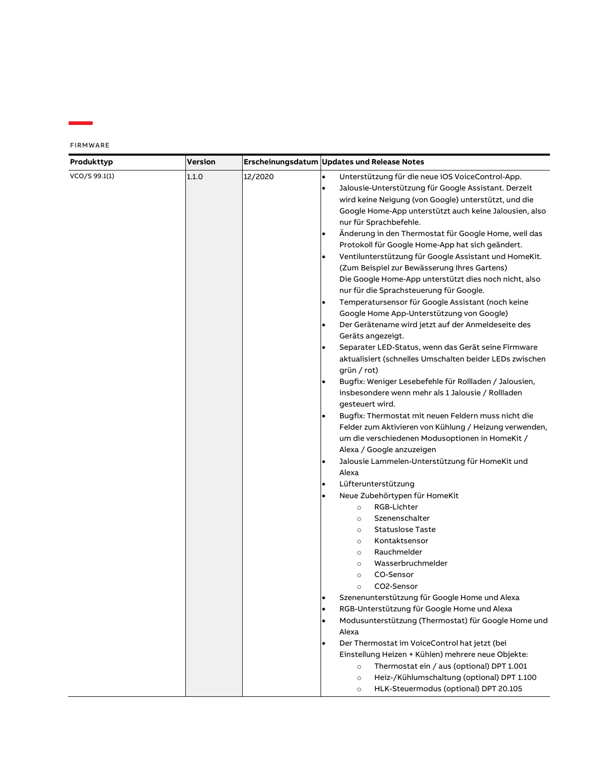FIRMWARE

Ė

| Produkttyp    | <b>Version</b> |         | Erscheinungsdatum Updates und Release Notes                                                                   |
|---------------|----------------|---------|---------------------------------------------------------------------------------------------------------------|
| VCO/S 99.1(1) | 1.1.0          | 12/2020 | $\bullet$<br>Unterstützung für die neue iOS VoiceControl-App.                                                 |
|               |                |         | $\bullet$<br>Jalousie-Unterstützung für Google Assistant. Derzeit                                             |
|               |                |         | wird keine Neigung (von Google) unterstützt, und die                                                          |
|               |                |         | Google Home-App unterstützt auch keine Jalousien, also                                                        |
|               |                |         | nur für Sprachbefehle.                                                                                        |
|               |                |         | Änderung in den Thermostat für Google Home, weil das<br>$\bullet$                                             |
|               |                |         | Protokoll für Google Home-App hat sich geändert.                                                              |
|               |                |         | Ventilunterstützung für Google Assistant und HomeKit.<br>$\bullet$                                            |
|               |                |         | (Zum Beispiel zur Bewässerung Ihres Gartens)                                                                  |
|               |                |         | Die Google Home-App unterstützt dies noch nicht, also                                                         |
|               |                |         | nur für die Sprachsteuerung für Google.                                                                       |
|               |                |         | Temperatursensor für Google Assistant (noch keine<br>$\bullet$                                                |
|               |                |         | Google Home App-Unterstützung von Google)                                                                     |
|               |                |         | Der Gerätename wird jetzt auf der Anmeldeseite des<br>$\bullet$                                               |
|               |                |         | Geräts angezeigt.                                                                                             |
|               |                |         | Separater LED-Status, wenn das Gerät seine Firmware<br>$\bullet$                                              |
|               |                |         | aktualisiert (schnelles Umschalten beider LEDs zwischen                                                       |
|               |                |         | grün / rot)                                                                                                   |
|               |                |         | Bugfix: Weniger Lesebefehle für Rollladen / Jalousien,                                                        |
|               |                |         | insbesondere wenn mehr als 1 Jalousie / Rollladen                                                             |
|               |                |         | gesteuert wird.                                                                                               |
|               |                |         | Bugfix: Thermostat mit neuen Feldern muss nicht die<br>Felder zum Aktivieren von Kühlung / Heizung verwenden, |
|               |                |         |                                                                                                               |
|               |                |         | um die verschiedenen Modusoptionen in HomeKit /<br>Alexa / Google anzuzeigen                                  |
|               |                |         | Jalousie Lammelen-Unterstützung für HomeKit und<br>$\bullet$                                                  |
|               |                |         | Alexa                                                                                                         |
|               |                |         | Lüfterunterstützung                                                                                           |
|               |                |         | Neue Zubehörtypen für HomeKit                                                                                 |
|               |                |         | RGB-Lichter<br>$\circ$                                                                                        |
|               |                |         | Szenenschalter<br>$\circ$                                                                                     |
|               |                |         | <b>Statuslose Taste</b><br>$\circ$                                                                            |
|               |                |         | Kontaktsensor<br>$\circ$                                                                                      |
|               |                |         | Rauchmelder<br>$\circ$                                                                                        |
|               |                |         | Wasserbruchmelder<br>$\circ$                                                                                  |
|               |                |         | CO-Sensor<br>$\circ$                                                                                          |
|               |                |         | CO2-Sensor<br>$\circ$                                                                                         |
|               |                |         | Szenenunterstützung für Google Home und Alexa<br>$\bullet$                                                    |
|               |                |         | RGB-Unterstützung für Google Home und Alexa<br>$\bullet$                                                      |
|               |                |         | Modusunterstützung (Thermostat) für Google Home und<br>$\bullet$                                              |
|               |                |         | Alexa                                                                                                         |
|               |                |         | Der Thermostat im VoiceControl hat jetzt (bei                                                                 |
|               |                |         | Einstellung Heizen + Kühlen) mehrere neue Objekte:                                                            |
|               |                |         | Thermostat ein / aus (optional) DPT 1.001<br>$\circ$                                                          |
|               |                |         | Heiz-/Kühlumschaltung (optional) DPT 1.100<br>$\circ$                                                         |
|               |                |         | HLK-Steuermodus (optional) DPT 20.105<br>$\circ$                                                              |